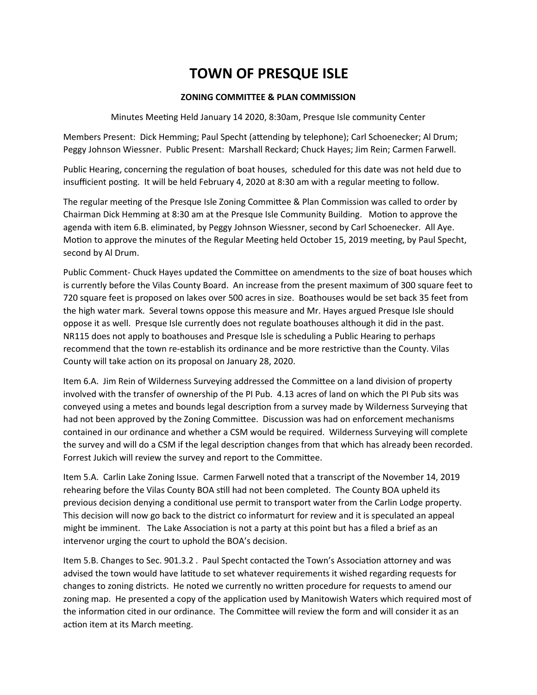### **ZONING COMMITTEE & PLAN COMMISSION**

Minutes Meeting Held January 14 2020, 8:30am, Presque Isle community Center

Members Present: Dick Hemming; Paul Specht (attending by telephone); Carl Schoenecker; Al Drum; Peggy Johnson Wiessner. Public Present: Marshall Reckard; Chuck Hayes; Jim Rein; Carmen Farwell.

Public Hearing, concerning the regulation of boat houses, scheduled for this date was not held due to insufficient posting. It will be held February 4, 2020 at 8:30 am with a regular meeting to follow.

The regular meeting of the Presque Isle Zoning Committee & Plan Commission was called to order by Chairman Dick Hemming at 8:30 am at the Presque Isle Community Building. Motion to approve the agenda with item 6.B. eliminated, by Peggy Johnson Wiessner, second by Carl Schoenecker. All Aye. Motion to approve the minutes of the Regular Meeting held October 15, 2019 meeting, by Paul Specht, second by Al Drum.

Public Comment- Chuck Hayes updated the Committee on amendments to the size of boat houses which is currently before the Vilas County Board. An increase from the present maximum of 300 square feet to 720 square feet is proposed on lakes over 500 acres in size. Boathouses would be set back 35 feet from the high water mark. Several towns oppose this measure and Mr. Hayes argued Presque Isle should oppose it as well. Presque Isle currently does not regulate boathouses although it did in the past. NR115 does not apply to boathouses and Presque Isle is scheduling a Public Hearing to perhaps recommend that the town re-establish its ordinance and be more restrictive than the County. Vilas County will take action on its proposal on January 28, 2020.

Item 6.A. Jim Rein of Wilderness Surveying addressed the Committee on a land division of property involved with the transfer of ownership of the PI Pub. 4.13 acres of land on which the PI Pub sits was conveyed using a metes and bounds legal description from a survey made by Wilderness Surveying that had not been approved by the Zoning Committee. Discussion was had on enforcement mechanisms contained in our ordinance and whether a CSM would be required. Wilderness Surveying will complete the survey and will do a CSM if the legal description changes from that which has already been recorded. Forrest Jukich will review the survey and report to the Committee.

Item 5.A. Carlin Lake Zoning Issue. Carmen Farwell noted that a transcript of the November 14, 2019 rehearing before the Vilas County BOA still had not been completed. The County BOA upheld its previous decision denying a conditional use permit to transport water from the Carlin Lodge property. This decision will now go back to the district co informaturt for review and it is speculated an appeal might be imminent. The Lake Association is not a party at this point but has a filed a brief as an intervenor urging the court to uphold the BOA's decision.

Item 5.B. Changes to Sec. 901.3.2 . Paul Specht contacted the Town's Association attorney and was advised the town would have latitude to set whatever requirements it wished regarding requests for changes to zoning districts. He noted we currently no written procedure for requests to amend our zoning map. He presented a copy of the application used by Manitowish Waters which required most of the information cited in our ordinance. The Committee will review the form and will consider it as an action item at its March meeting.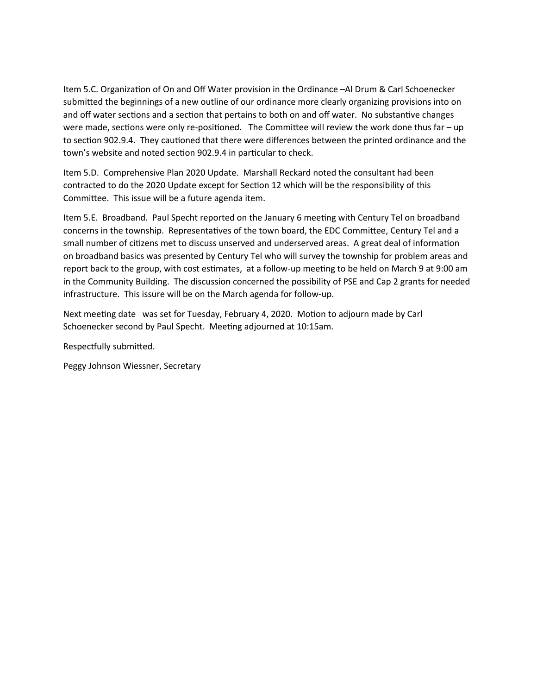Item 5.C. Organization of On and Off Water provision in the Ordinance –Al Drum & Carl Schoenecker submitted the beginnings of a new outline of our ordinance more clearly organizing provisions into on and off water sections and a section that pertains to both on and off water. No substantive changes were made, sections were only re-positioned. The Committee will review the work done thus far – up to section 902.9.4. They cautioned that there were differences between the printed ordinance and the town's website and noted section 902.9.4 in particular to check.

Item 5.D. Comprehensive Plan 2020 Update. Marshall Reckard noted the consultant had been contracted to do the 2020 Update except for Section 12 which will be the responsibility of this Committee. This issue will be a future agenda item.

Item 5.E. Broadband. Paul Specht reported on the January 6 meeting with Century Tel on broadband concerns in the township. Representatives of the town board, the EDC Committee, Century Tel and a small number of citizens met to discuss unserved and underserved areas. A great deal of information on broadband basics was presented by Century Tel who will survey the township for problem areas and report back to the group, with cost estimates, at a follow-up meeting to be held on March 9 at 9:00 am in the Community Building. The discussion concerned the possibility of PSE and Cap 2 grants for needed infrastructure. This issure will be on the March agenda for follow-up.

Next meeting date was set for Tuesday, February 4, 2020. Motion to adjourn made by Carl Schoenecker second by Paul Specht. Meeting adjourned at 10:15am.

Respectfully submitted.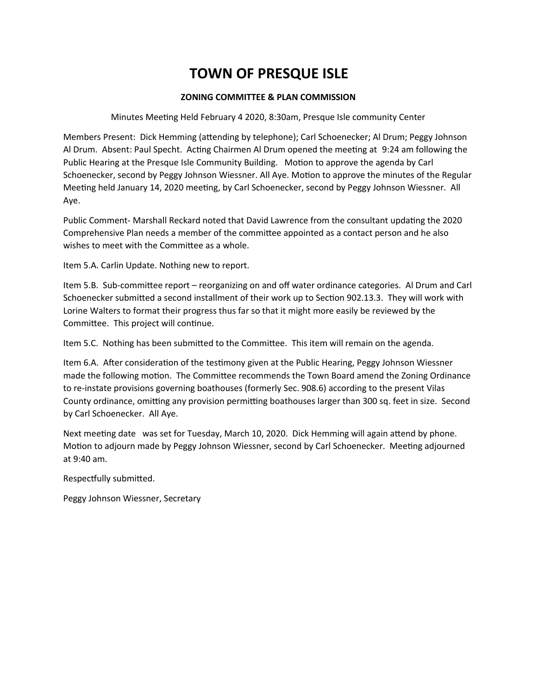### **ZONING COMMITTEE & PLAN COMMISSION**

Minutes Meeting Held February 4 2020, 8:30am, Presque Isle community Center

Members Present: Dick Hemming (attending by telephone); Carl Schoenecker; Al Drum; Peggy Johnson Al Drum. Absent: Paul Specht. Acting Chairmen Al Drum opened the meeting at 9:24 am following the Public Hearing at the Presque Isle Community Building. Motion to approve the agenda by Carl Schoenecker, second by Peggy Johnson Wiessner. All Aye. Motion to approve the minutes of the Regular Meeting held January 14, 2020 meeting, by Carl Schoenecker, second by Peggy Johnson Wiessner. All Aye.

Public Comment- Marshall Reckard noted that David Lawrence from the consultant updating the 2020 Comprehensive Plan needs a member of the committee appointed as a contact person and he also wishes to meet with the Committee as a whole.

Item 5.A. Carlin Update. Nothing new to report.

Item 5.B. Sub-committee report – reorganizing on and off water ordinance categories. Al Drum and Carl Schoenecker submitted a second installment of their work up to Section 902.13.3. They will work with Lorine Walters to format their progress thus far so that it might more easily be reviewed by the Committee. This project will continue.

Item 5.C. Nothing has been submitted to the Committee. This item will remain on the agenda.

Item 6.A. After consideration of the testimony given at the Public Hearing, Peggy Johnson Wiessner made the following motion. The Committee recommends the Town Board amend the Zoning Ordinance to re-instate provisions governing boathouses (formerly Sec. 908.6) according to the present Vilas County ordinance, omitting any provision permitting boathouses larger than 300 sq. feet in size. Second by Carl Schoenecker. All Aye.

Next meeting date was set for Tuesday, March 10, 2020. Dick Hemming will again attend by phone. Motion to adjourn made by Peggy Johnson Wiessner, second by Carl Schoenecker. Meeting adjourned at 9:40 am.

Respectfully submitted.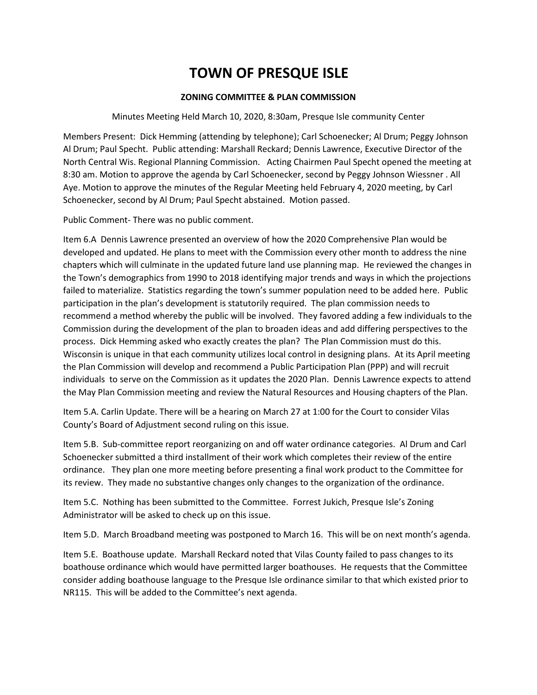### **ZONING COMMITTEE & PLAN COMMISSION**

### Minutes Meeting Held March 10, 2020, 8:30am, Presque Isle community Center

Members Present: Dick Hemming (attending by telephone); Carl Schoenecker; Al Drum; Peggy Johnson Al Drum; Paul Specht. Public attending: Marshall Reckard; Dennis Lawrence, Executive Director of the North Central Wis. Regional Planning Commission. Acting Chairmen Paul Specht opened the meeting at 8:30 am. Motion to approve the agenda by Carl Schoenecker, second by Peggy Johnson Wiessner . All Aye. Motion to approve the minutes of the Regular Meeting held February 4, 2020 meeting, by Carl Schoenecker, second by Al Drum; Paul Specht abstained. Motion passed.

Public Comment- There was no public comment.

Item 6.A Dennis Lawrence presented an overview of how the 2020 Comprehensive Plan would be developed and updated. He plans to meet with the Commission every other month to address the nine chapters which will culminate in the updated future land use planning map. He reviewed the changes in the Town's demographics from 1990 to 2018 identifying major trends and ways in which the projections failed to materialize. Statistics regarding the town's summer population need to be added here. Public participation in the plan's development is statutorily required. The plan commission needs to recommend a method whereby the public will be involved. They favored adding a few individuals to the Commission during the development of the plan to broaden ideas and add differing perspectives to the process. Dick Hemming asked who exactly creates the plan? The Plan Commission must do this. Wisconsin is unique in that each community utilizes local control in designing plans. At its April meeting the Plan Commission will develop and recommend a Public Participation Plan (PPP) and will recruit individuals to serve on the Commission as it updates the 2020 Plan. Dennis Lawrence expects to attend the May Plan Commission meeting and review the Natural Resources and Housing chapters of the Plan.

Item 5.A. Carlin Update. There will be a hearing on March 27 at 1:00 for the Court to consider Vilas County's Board of Adjustment second ruling on this issue.

Item 5.B. Sub-committee report reorganizing on and off water ordinance categories. Al Drum and Carl Schoenecker submitted a third installment of their work which completes their review of the entire ordinance. They plan one more meeting before presenting a final work product to the Committee for its review. They made no substantive changes only changes to the organization of the ordinance.

Item 5.C. Nothing has been submitted to the Committee. Forrest Jukich, Presque Isle's Zoning Administrator will be asked to check up on this issue.

Item 5.D. March Broadband meeting was postponed to March 16. This will be on next month's agenda.

Item 5.E. Boathouse update. Marshall Reckard noted that Vilas County failed to pass changes to its boathouse ordinance which would have permitted larger boathouses. He requests that the Committee consider adding boathouse language to the Presque Isle ordinance similar to that which existed prior to NR115. This will be added to the Committee's next agenda.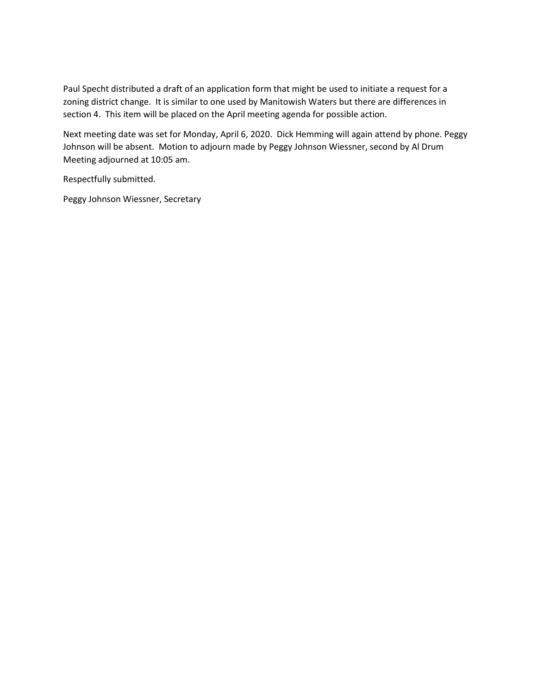Paul Specht distributed a draft of an application form that might be used to initiate a request for a zoning district change. It is similar to one used by Manitowish Waters but there are differences in section 4. This item will be placed on the April meeting agenda for possible action.

Next meeting date was set for Monday, April 6, 2020. Dick Hemming will again attend by phone. Peggy Johnson will be absent. Motion to adjourn made by Peggy Johnson Wiessner, second by Al Drum Meeting adjourned at 10:05 am.

Respectfully submitted.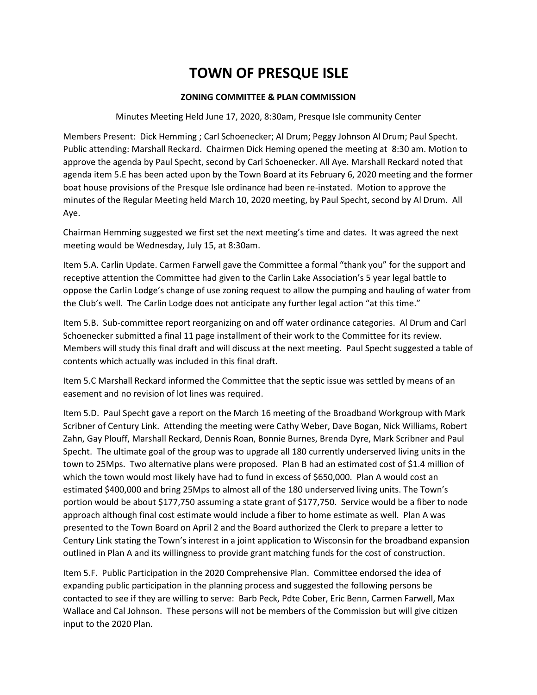### **ZONING COMMITTEE & PLAN COMMISSION**

### Minutes Meeting Held June 17, 2020, 8:30am, Presque Isle community Center

Members Present: Dick Hemming ; Carl Schoenecker; Al Drum; Peggy Johnson Al Drum; Paul Specht. Public attending: Marshall Reckard. Chairmen Dick Heming opened the meeting at 8:30 am. Motion to approve the agenda by Paul Specht, second by Carl Schoenecker. All Aye. Marshall Reckard noted that agenda item 5.E has been acted upon by the Town Board at its February 6, 2020 meeting and the former boat house provisions of the Presque Isle ordinance had been re-instated. Motion to approve the minutes of the Regular Meeting held March 10, 2020 meeting, by Paul Specht, second by Al Drum. All Aye.

Chairman Hemming suggested we first set the next meeting's time and dates. It was agreed the next meeting would be Wednesday, July 15, at 8:30am.

Item 5.A. Carlin Update. Carmen Farwell gave the Committee a formal "thank you" for the support and receptive attention the Committee had given to the Carlin Lake Association's 5 year legal battle to oppose the Carlin Lodge's change of use zoning request to allow the pumping and hauling of water from the Club's well. The Carlin Lodge does not anticipate any further legal action "at this time."

Item 5.B. Sub-committee report reorganizing on and off water ordinance categories. Al Drum and Carl Schoenecker submitted a final 11 page installment of their work to the Committee for its review. Members will study this final draft and will discuss at the next meeting. Paul Specht suggested a table of contents which actually was included in this final draft.

Item 5.C Marshall Reckard informed the Committee that the septic issue was settled by means of an easement and no revision of lot lines was required.

Item 5.D. Paul Specht gave a report on the March 16 meeting of the Broadband Workgroup with Mark Scribner of Century Link. Attending the meeting were Cathy Weber, Dave Bogan, Nick Williams, Robert Zahn, Gay Plouff, Marshall Reckard, Dennis Roan, Bonnie Burnes, Brenda Dyre, Mark Scribner and Paul Specht. The ultimate goal of the group was to upgrade all 180 currently underserved living units in the town to 25Mps. Two alternative plans were proposed. Plan B had an estimated cost of \$1.4 million of which the town would most likely have had to fund in excess of \$650,000. Plan A would cost an estimated \$400,000 and bring 25Mps to almost all of the 180 underserved living units. The Town's portion would be about \$177,750 assuming a state grant of \$177,750. Service would be a fiber to node approach although final cost estimate would include a fiber to home estimate as well. Plan A was presented to the Town Board on April 2 and the Board authorized the Clerk to prepare a letter to Century Link stating the Town's interest in a joint application to Wisconsin for the broadband expansion outlined in Plan A and its willingness to provide grant matching funds for the cost of construction.

Item 5.F. Public Participation in the 2020 Comprehensive Plan. Committee endorsed the idea of expanding public participation in the planning process and suggested the following persons be contacted to see if they are willing to serve: Barb Peck, Pdte Cober, Eric Benn, Carmen Farwell, Max Wallace and Cal Johnson. These persons will not be members of the Commission but will give citizen input to the 2020 Plan.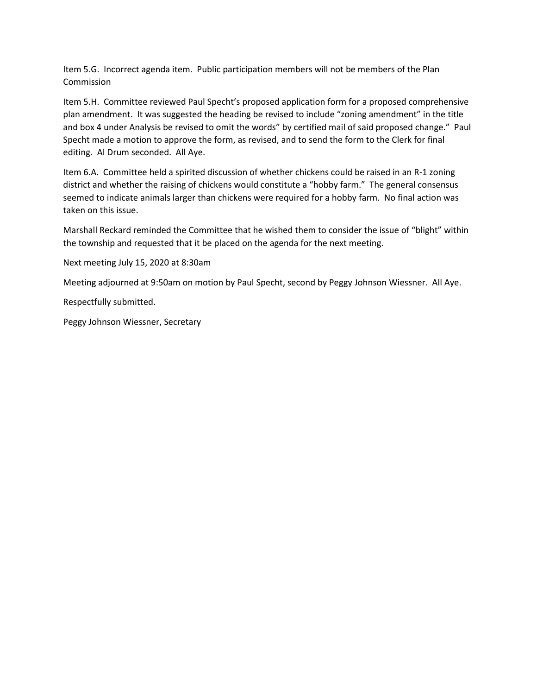Item 5.G. Incorrect agenda item. Public participation members will not be members of the Plan **Commission** 

Item 5.H. Committee reviewed Paul Specht's proposed application form for a proposed comprehensive plan amendment. It was suggested the heading be revised to include "zoning amendment" in the title and box 4 under Analysis be revised to omit the words" by certified mail of said proposed change." Paul Specht made a motion to approve the form, as revised, and to send the form to the Clerk for final editing. Al Drum seconded. All Aye.

Item 6.A. Committee held a spirited discussion of whether chickens could be raised in an R-1 zoning district and whether the raising of chickens would constitute a "hobby farm." The general consensus seemed to indicate animals larger than chickens were required for a hobby farm. No final action was taken on this issue.

Marshall Reckard reminded the Committee that he wished them to consider the issue of "blight" within the township and requested that it be placed on the agenda for the next meeting.

Next meeting July 15, 2020 at 8:30am

Meeting adjourned at 9:50am on motion by Paul Specht, second by Peggy Johnson Wiessner. All Aye.

Respectfully submitted.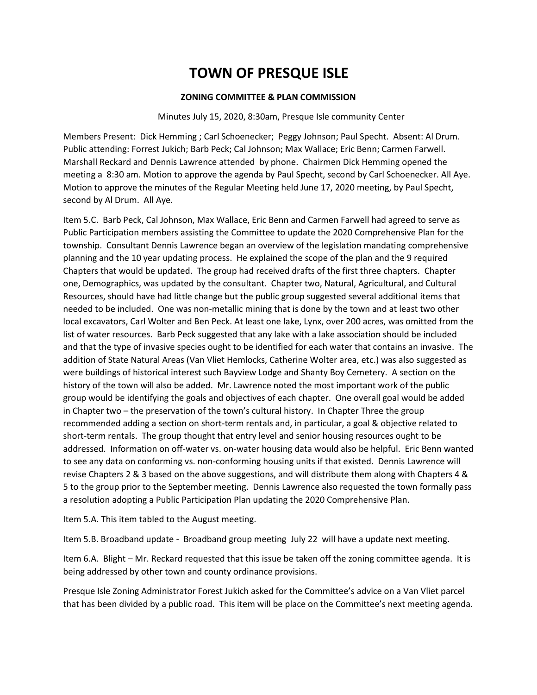### **ZONING COMMITTEE & PLAN COMMISSION**

#### Minutes July 15, 2020, 8:30am, Presque Isle community Center

Members Present: Dick Hemming ; Carl Schoenecker; Peggy Johnson; Paul Specht. Absent: Al Drum. Public attending: Forrest Jukich; Barb Peck; Cal Johnson; Max Wallace; Eric Benn; Carmen Farwell. Marshall Reckard and Dennis Lawrence attended by phone. Chairmen Dick Hemming opened the meeting a 8:30 am. Motion to approve the agenda by Paul Specht, second by Carl Schoenecker. All Aye. Motion to approve the minutes of the Regular Meeting held June 17, 2020 meeting, by Paul Specht, second by Al Drum. All Aye.

Item 5.C. Barb Peck, Cal Johnson, Max Wallace, Eric Benn and Carmen Farwell had agreed to serve as Public Participation members assisting the Committee to update the 2020 Comprehensive Plan for the township. Consultant Dennis Lawrence began an overview of the legislation mandating comprehensive planning and the 10 year updating process. He explained the scope of the plan and the 9 required Chapters that would be updated. The group had received drafts of the first three chapters. Chapter one, Demographics, was updated by the consultant. Chapter two, Natural, Agricultural, and Cultural Resources, should have had little change but the public group suggested several additional items that needed to be included. One was non-metallic mining that is done by the town and at least two other local excavators, Carl Wolter and Ben Peck. At least one lake, Lynx, over 200 acres, was omitted from the list of water resources. Barb Peck suggested that any lake with a lake association should be included and that the type of invasive species ought to be identified for each water that contains an invasive. The addition of State Natural Areas (Van Vliet Hemlocks, Catherine Wolter area, etc.) was also suggested as were buildings of historical interest such Bayview Lodge and Shanty Boy Cemetery. A section on the history of the town will also be added. Mr. Lawrence noted the most important work of the public group would be identifying the goals and objectives of each chapter. One overall goal would be added in Chapter two – the preservation of the town's cultural history. In Chapter Three the group recommended adding a section on short-term rentals and, in particular, a goal & objective related to short-term rentals. The group thought that entry level and senior housing resources ought to be addressed. Information on off-water vs. on-water housing data would also be helpful. Eric Benn wanted to see any data on conforming vs. non-conforming housing units if that existed. Dennis Lawrence will revise Chapters 2 & 3 based on the above suggestions, and will distribute them along with Chapters 4 & 5 to the group prior to the September meeting. Dennis Lawrence also requested the town formally pass a resolution adopting a Public Participation Plan updating the 2020 Comprehensive Plan.

Item 5.A. This item tabled to the August meeting.

Item 5.B. Broadband update - Broadband group meeting July 22 will have a update next meeting.

Item 6.A. Blight – Mr. Reckard requested that this issue be taken off the zoning committee agenda. It is being addressed by other town and county ordinance provisions.

Presque Isle Zoning Administrator Forest Jukich asked for the Committee's advice on a Van Vliet parcel that has been divided by a public road. This item will be place on the Committee's next meeting agenda.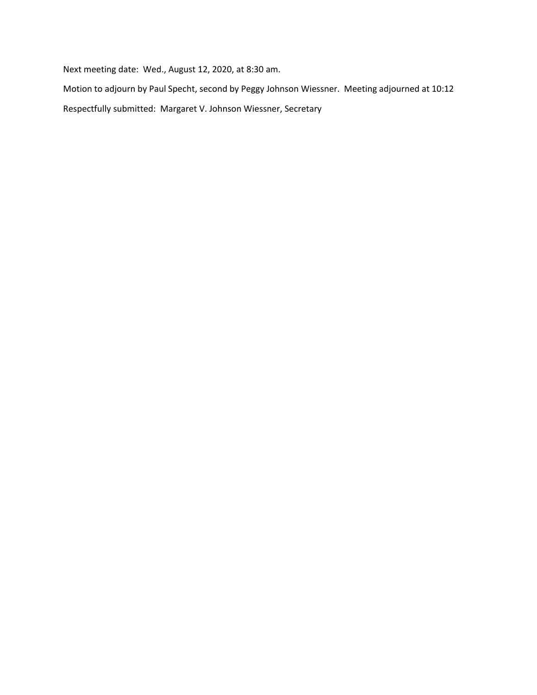Next meeting date: Wed., August 12, 2020, at 8:30 am.

Motion to adjourn by Paul Specht, second by Peggy Johnson Wiessner. Meeting adjourned at 10:12 Respectfully submitted: Margaret V. Johnson Wiessner, Secretary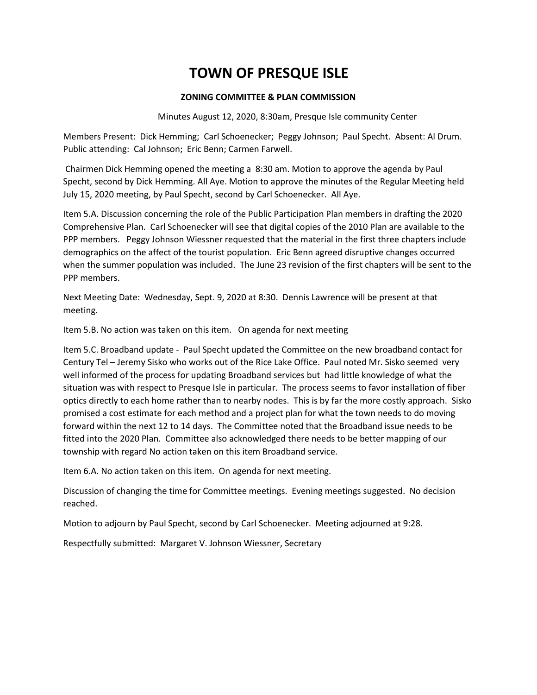### **ZONING COMMITTEE & PLAN COMMISSION**

Minutes August 12, 2020, 8:30am, Presque Isle community Center

Members Present: Dick Hemming; Carl Schoenecker; Peggy Johnson; Paul Specht. Absent: Al Drum. Public attending: Cal Johnson; Eric Benn; Carmen Farwell.

Chairmen Dick Hemming opened the meeting a 8:30 am. Motion to approve the agenda by Paul Specht, second by Dick Hemming. All Aye. Motion to approve the minutes of the Regular Meeting held July 15, 2020 meeting, by Paul Specht, second by Carl Schoenecker. All Aye.

Item 5.A. Discussion concerning the role of the Public Participation Plan members in drafting the 2020 Comprehensive Plan. Carl Schoenecker will see that digital copies of the 2010 Plan are available to the PPP members. Peggy Johnson Wiessner requested that the material in the first three chapters include demographics on the affect of the tourist population. Eric Benn agreed disruptive changes occurred when the summer population was included. The June 23 revision of the first chapters will be sent to the PPP members.

Next Meeting Date: Wednesday, Sept. 9, 2020 at 8:30. Dennis Lawrence will be present at that meeting.

Item 5.B. No action was taken on this item. On agenda for next meeting

Item 5.C. Broadband update - Paul Specht updated the Committee on the new broadband contact for Century Tel – Jeremy Sisko who works out of the Rice Lake Office. Paul noted Mr. Sisko seemed very well informed of the process for updating Broadband services but had little knowledge of what the situation was with respect to Presque Isle in particular. The process seems to favor installation of fiber optics directly to each home rather than to nearby nodes. This is by far the more costly approach. Sisko promised a cost estimate for each method and a project plan for what the town needs to do moving forward within the next 12 to 14 days. The Committee noted that the Broadband issue needs to be fitted into the 2020 Plan. Committee also acknowledged there needs to be better mapping of our township with regard No action taken on this item Broadband service.

Item 6.A. No action taken on this item. On agenda for next meeting.

Discussion of changing the time for Committee meetings. Evening meetings suggested. No decision reached.

Motion to adjourn by Paul Specht, second by Carl Schoenecker. Meeting adjourned at 9:28.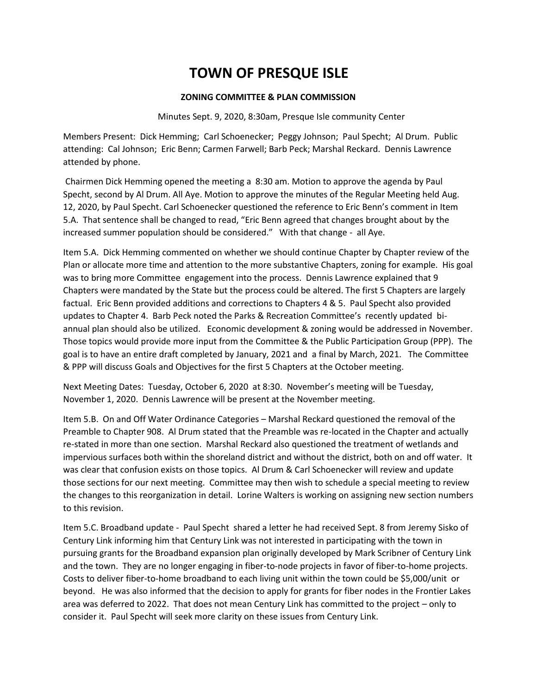### **ZONING COMMITTEE & PLAN COMMISSION**

Minutes Sept. 9, 2020, 8:30am, Presque Isle community Center

Members Present: Dick Hemming; Carl Schoenecker; Peggy Johnson; Paul Specht; Al Drum. Public attending: Cal Johnson; Eric Benn; Carmen Farwell; Barb Peck; Marshal Reckard. Dennis Lawrence attended by phone.

Chairmen Dick Hemming opened the meeting a 8:30 am. Motion to approve the agenda by Paul Specht, second by Al Drum. All Aye. Motion to approve the minutes of the Regular Meeting held Aug. 12, 2020, by Paul Specht. Carl Schoenecker questioned the reference to Eric Benn's comment in Item 5.A. That sentence shall be changed to read, "Eric Benn agreed that changes brought about by the increased summer population should be considered." With that change - all Aye.

Item 5.A. Dick Hemming commented on whether we should continue Chapter by Chapter review of the Plan or allocate more time and attention to the more substantive Chapters, zoning for example. His goal was to bring more Committee engagement into the process. Dennis Lawrence explained that 9 Chapters were mandated by the State but the process could be altered. The first 5 Chapters are largely factual. Eric Benn provided additions and corrections to Chapters 4 & 5. Paul Specht also provided updates to Chapter 4. Barb Peck noted the Parks & Recreation Committee's recently updated biannual plan should also be utilized. Economic development & zoning would be addressed in November. Those topics would provide more input from the Committee & the Public Participation Group (PPP). The goal is to have an entire draft completed by January, 2021 and a final by March, 2021. The Committee & PPP will discuss Goals and Objectives for the first 5 Chapters at the October meeting.

Next Meeting Dates: Tuesday, October 6, 2020 at 8:30. November's meeting will be Tuesday, November 1, 2020. Dennis Lawrence will be present at the November meeting.

Item 5.B. On and Off Water Ordinance Categories – Marshal Reckard questioned the removal of the Preamble to Chapter 908. Al Drum stated that the Preamble was re-located in the Chapter and actually re-stated in more than one section. Marshal Reckard also questioned the treatment of wetlands and impervious surfaces both within the shoreland district and without the district, both on and off water. It was clear that confusion exists on those topics. Al Drum & Carl Schoenecker will review and update those sections for our next meeting. Committee may then wish to schedule a special meeting to review the changes to this reorganization in detail. Lorine Walters is working on assigning new section numbers to this revision.

Item 5.C. Broadband update - Paul Specht shared a letter he had received Sept. 8 from Jeremy Sisko of Century Link informing him that Century Link was not interested in participating with the town in pursuing grants for the Broadband expansion plan originally developed by Mark Scribner of Century Link and the town. They are no longer engaging in fiber-to-node projects in favor of fiber-to-home projects. Costs to deliver fiber-to-home broadband to each living unit within the town could be \$5,000/unit or beyond. He was also informed that the decision to apply for grants for fiber nodes in the Frontier Lakes area was deferred to 2022. That does not mean Century Link has committed to the project – only to consider it. Paul Specht will seek more clarity on these issues from Century Link.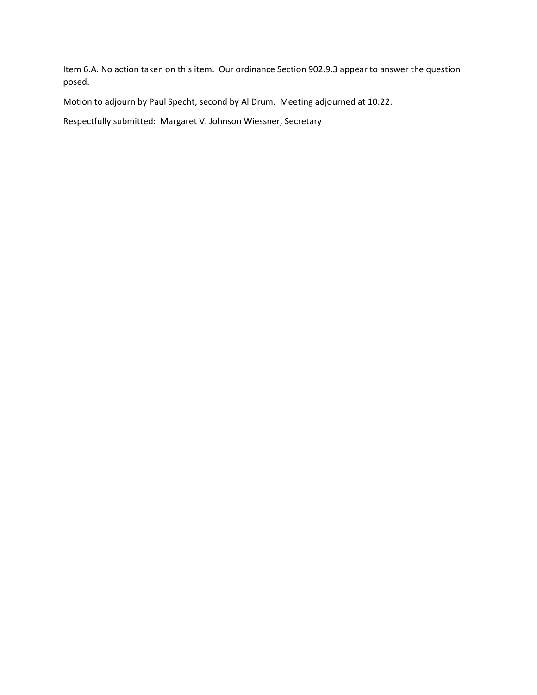Item 6.A. No action taken on this item. Our ordinance Section 902.9.3 appear to answer the question posed.

Motion to adjourn by Paul Specht, second by Al Drum. Meeting adjourned at 10:22.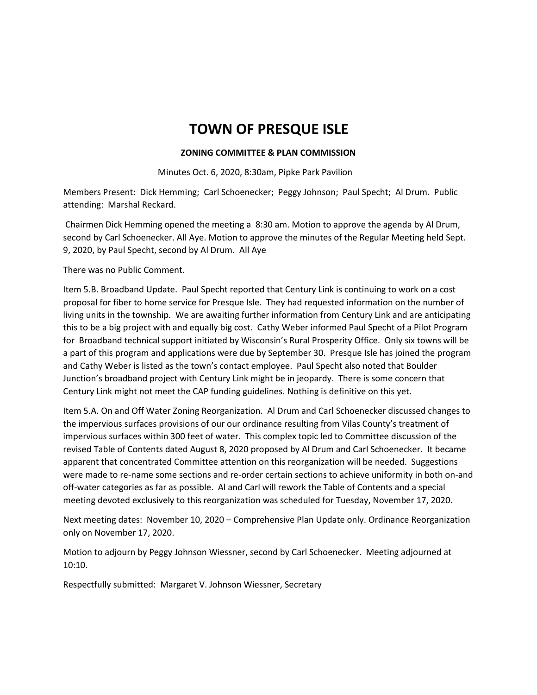#### **ZONING COMMITTEE & PLAN COMMISSION**

Minutes Oct. 6, 2020, 8:30am, Pipke Park Pavilion

Members Present: Dick Hemming; Carl Schoenecker; Peggy Johnson; Paul Specht; Al Drum. Public attending: Marshal Reckard.

Chairmen Dick Hemming opened the meeting a 8:30 am. Motion to approve the agenda by Al Drum, second by Carl Schoenecker. All Aye. Motion to approve the minutes of the Regular Meeting held Sept. 9, 2020, by Paul Specht, second by Al Drum. All Aye

There was no Public Comment.

Item 5.B. Broadband Update. Paul Specht reported that Century Link is continuing to work on a cost proposal for fiber to home service for Presque Isle. They had requested information on the number of living units in the township. We are awaiting further information from Century Link and are anticipating this to be a big project with and equally big cost. Cathy Weber informed Paul Specht of a Pilot Program for Broadband technical support initiated by Wisconsin's Rural Prosperity Office. Only six towns will be a part of this program and applications were due by September 30. Presque Isle has joined the program and Cathy Weber is listed as the town's contact employee. Paul Specht also noted that Boulder Junction's broadband project with Century Link might be in jeopardy. There is some concern that Century Link might not meet the CAP funding guidelines. Nothing is definitive on this yet.

Item 5.A. On and Off Water Zoning Reorganization. Al Drum and Carl Schoenecker discussed changes to the impervious surfaces provisions of our our ordinance resulting from Vilas County's treatment of impervious surfaces within 300 feet of water. This complex topic led to Committee discussion of the revised Table of Contents dated August 8, 2020 proposed by Al Drum and Carl Schoenecker. It became apparent that concentrated Committee attention on this reorganization will be needed. Suggestions were made to re-name some sections and re-order certain sections to achieve uniformity in both on-and off-water categories as far as possible. Al and Carl will rework the Table of Contents and a special meeting devoted exclusively to this reorganization was scheduled for Tuesday, November 17, 2020.

Next meeting dates: November 10, 2020 – Comprehensive Plan Update only. Ordinance Reorganization only on November 17, 2020.

Motion to adjourn by Peggy Johnson Wiessner, second by Carl Schoenecker. Meeting adjourned at 10:10.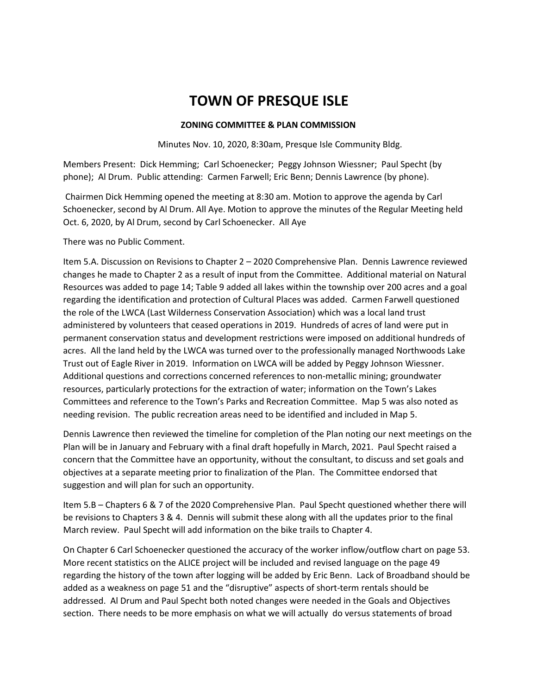### **ZONING COMMITTEE & PLAN COMMISSION**

Minutes Nov. 10, 2020, 8:30am, Presque Isle Community Bldg.

Members Present: Dick Hemming; Carl Schoenecker; Peggy Johnson Wiessner; Paul Specht (by phone); Al Drum. Public attending: Carmen Farwell; Eric Benn; Dennis Lawrence (by phone).

Chairmen Dick Hemming opened the meeting at 8:30 am. Motion to approve the agenda by Carl Schoenecker, second by Al Drum. All Aye. Motion to approve the minutes of the Regular Meeting held Oct. 6, 2020, by Al Drum, second by Carl Schoenecker. All Aye

There was no Public Comment.

Item 5.A. Discussion on Revisions to Chapter 2 – 2020 Comprehensive Plan. Dennis Lawrence reviewed changes he made to Chapter 2 as a result of input from the Committee. Additional material on Natural Resources was added to page 14; Table 9 added all lakes within the township over 200 acres and a goal regarding the identification and protection of Cultural Places was added. Carmen Farwell questioned the role of the LWCA (Last Wilderness Conservation Association) which was a local land trust administered by volunteers that ceased operations in 2019. Hundreds of acres of land were put in permanent conservation status and development restrictions were imposed on additional hundreds of acres. All the land held by the LWCA was turned over to the professionally managed Northwoods Lake Trust out of Eagle River in 2019. Information on LWCA will be added by Peggy Johnson Wiessner. Additional questions and corrections concerned references to non-metallic mining; groundwater resources, particularly protections for the extraction of water; information on the Town's Lakes Committees and reference to the Town's Parks and Recreation Committee. Map 5 was also noted as needing revision. The public recreation areas need to be identified and included in Map 5.

Dennis Lawrence then reviewed the timeline for completion of the Plan noting our next meetings on the Plan will be in January and February with a final draft hopefully in March, 2021. Paul Specht raised a concern that the Committee have an opportunity, without the consultant, to discuss and set goals and objectives at a separate meeting prior to finalization of the Plan. The Committee endorsed that suggestion and will plan for such an opportunity.

Item 5.B – Chapters 6 & 7 of the 2020 Comprehensive Plan. Paul Specht questioned whether there will be revisions to Chapters 3 & 4. Dennis will submit these along with all the updates prior to the final March review. Paul Specht will add information on the bike trails to Chapter 4.

On Chapter 6 Carl Schoenecker questioned the accuracy of the worker inflow/outflow chart on page 53. More recent statistics on the ALICE project will be included and revised language on the page 49 regarding the history of the town after logging will be added by Eric Benn. Lack of Broadband should be added as a weakness on page 51 and the "disruptive" aspects of short-term rentals should be addressed. Al Drum and Paul Specht both noted changes were needed in the Goals and Objectives section. There needs to be more emphasis on what we will actually do versus statements of broad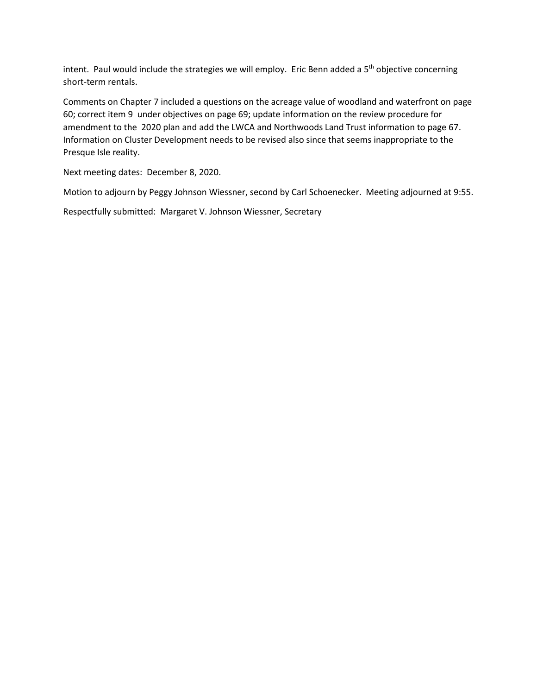intent. Paul would include the strategies we will employ. Eric Benn added a 5<sup>th</sup> objective concerning short-term rentals.

Comments on Chapter 7 included a questions on the acreage value of woodland and waterfront on page 60; correct item 9 under objectives on page 69; update information on the review procedure for amendment to the 2020 plan and add the LWCA and Northwoods Land Trust information to page 67. Information on Cluster Development needs to be revised also since that seems inappropriate to the Presque Isle reality.

Next meeting dates: December 8, 2020.

Motion to adjourn by Peggy Johnson Wiessner, second by Carl Schoenecker. Meeting adjourned at 9:55.